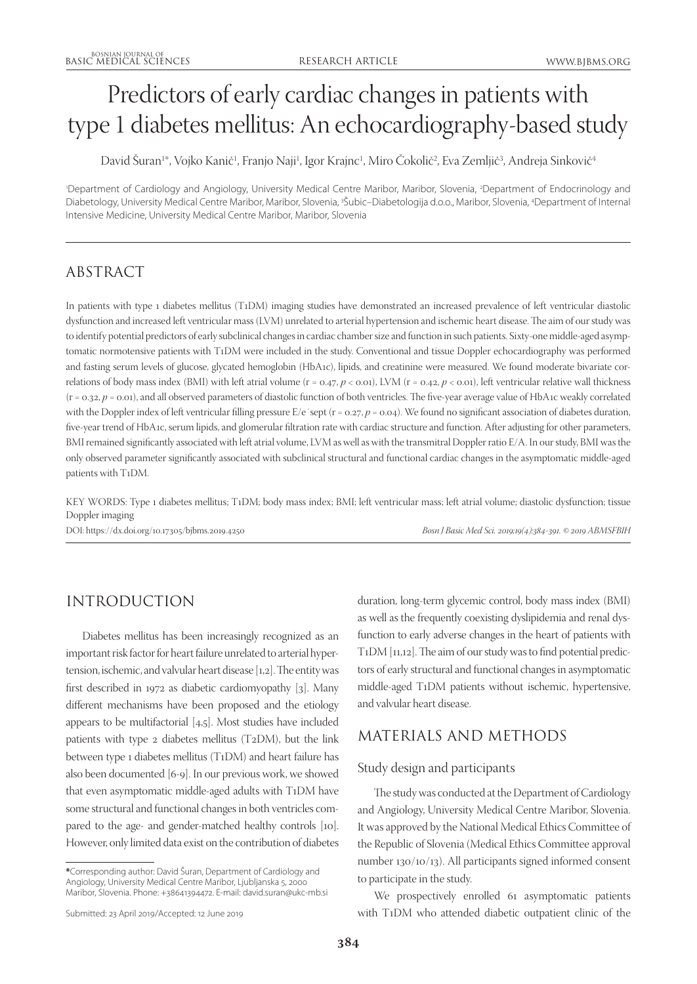# Predictors of early cardiac changes in patients with type 1 diabetes mellitus: An echocardiography-based study

David Suran1\*, Vojko Kanič1, Franjo Naji1, Igor Krajnc1, Miro Cokolič2, Eva Zemljič3, Andreja Sinkovič<sup>4</sup>

'Department of Cardiology and Angiology, University Medical Centre Maribor, Maribor, Slovenia, <sup>2</sup>Department of Endocrinology and Diabetology, University Medical Centre Maribor, Maribor, Slovenia, 3 Šubic–Diabetologija d.o.o., Maribor, Slovenia, 4 Department of Internal Intensive Medicine, University Medical Centre Maribor, Maribor, Slovenia

# ABSTRACT

In patients with type 1 diabetes mellitus (T1DM) imaging studies have demonstrated an increased prevalence of left ventricular diastolic dysfunction and increased left ventricular mass (LVM) unrelated to arterial hypertension and ischemic heart disease. The aim of our study was to identify potential predictors of early subclinical changes in cardiac chamber size and function in such patients. Sixty-one middle-aged asymptomatic normotensive patients with T1DM were included in the study. Conventional and tissue Doppler echocardiography was performed and fasting serum levels of glucose, glycated hemoglobin (HbA1c), lipids, and creatinine were measured. We found moderate bivariate correlations of body mass index (BMI) with left atrial volume (r = 0.47, *p* < 0.01), LVM (r = 0.42, *p* < 0.01), left ventricular relative wall thickness  $(r = 0.32, p = 0.01)$ , and all observed parameters of diastolic function of both ventricles. The five-year average value of HbA1c weakly correlated with the Doppler index of left ventricular filling pressure E/e'sept (r = 0.27,  $p$  = 0.04). We found no significant association of diabetes duration, five-year trend of HbA1c, serum lipids, and glomerular filtration rate with cardiac structure and function. After adjusting for other parameters, BMI remained significantly associated with left atrial volume, LVM as well as with the transmitral Doppler ratio E/A. In our study, BMI was the only observed parameter significantly associated with subclinical structural and functional cardiac changes in the asymptomatic middle-aged patients with T1DM.

KEY WORDS: Type 1 diabetes mellitus; T1DM; body mass index; BMI; left ventricular mass; left atrial volume; diastolic dysfunction; tissue Doppler imaging

DOI: https://dx.doi.org/10.17305/bjbms.2019.4250 *Bosn J Basic Med Sci. 2019;19(4):384-391. © 2019 ABMSFBIH*

# INTRODUCTION

Diabetes mellitus has been increasingly recognized as an important risk factor for heart failure unrelated to arterial hypertension, ischemic, and valvular heart disease [1,2]. The entity was first described in 1972 as diabetic cardiomyopathy [3]. Many different mechanisms have been proposed and the etiology appears to be multifactorial [4,5]. Most studies have included patients with type 2 diabetes mellitus (T2DM), but the link between type 1 diabetes mellitus (T1DM) and heart failure has also been documented [6-9]. In our previous work, we showed that even asymptomatic middle-aged adults with T1DM have some structural and functional changes in both ventricles compared to the age- and gender-matched healthy controls [10]. However, only limited data exist on the contribution of diabetes

duration, long-term glycemic control, body mass index (BMI) as well as the frequently coexisting dyslipidemia and renal dysfunction to early adverse changes in the heart of patients with T1DM [11,12]. The aim of our study was to find potential predictors of early structural and functional changes in asymptomatic middle-aged T1DM patients without ischemic, hypertensive, and valvular heart disease.

# MATERIALS AND METHODS

### Study design and participants

The study was conducted at the Department of Cardiology and Angiology, University Medical Centre Maribor, Slovenia. It was approved by the National Medical Ethics Committee of the Republic of Slovenia (Medical Ethics Committee approval number 130/10/13). All participants signed informed consent to participate in the study.

We prospectively enrolled 61 asymptomatic patients with T1DM who attended diabetic outpatient clinic of the

**<sup>\*</sup>**Corresponding author: David Šuran, Department of Cardiology and Angiology, University Medical Centre Maribor, Ljubljanska 5, 2000 Maribor, Slovenia. Phone: +38641394472. E-mail: david.suran@ukc-mb.si

Submitted: 23 April 2019/Accepted: 12 June 2019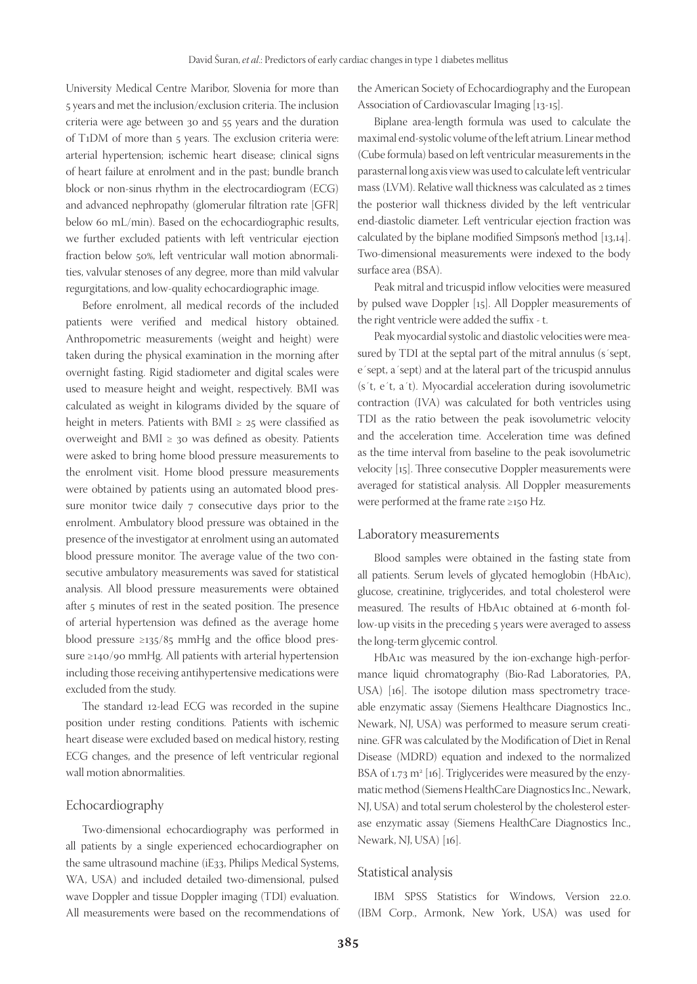University Medical Centre Maribor, Slovenia for more than 5 years and met the inclusion/exclusion criteria. The inclusion criteria were age between 30 and 55 years and the duration of T1DM of more than 5 years. The exclusion criteria were: arterial hypertension; ischemic heart disease; clinical signs of heart failure at enrolment and in the past; bundle branch block or non-sinus rhythm in the electrocardiogram (ECG) and advanced nephropathy (glomerular filtration rate [GFR] below 60 mL/min). Based on the echocardiographic results, we further excluded patients with left ventricular ejection fraction below 50%, left ventricular wall motion abnormalities, valvular stenoses of any degree, more than mild valvular regurgitations, and low-quality echocardiographic image.

Before enrolment, all medical records of the included patients were verified and medical history obtained. Anthropometric measurements (weight and height) were taken during the physical examination in the morning after overnight fasting. Rigid stadiometer and digital scales were used to measure height and weight, respectively. BMI was calculated as weight in kilograms divided by the square of height in meters. Patients with BMI  $\geq$  25 were classified as overweight and BMI  $\geq$  30 was defined as obesity. Patients were asked to bring home blood pressure measurements to the enrolment visit. Home blood pressure measurements were obtained by patients using an automated blood pressure monitor twice daily 7 consecutive days prior to the enrolment. Ambulatory blood pressure was obtained in the presence of the investigator at enrolment using an automated blood pressure monitor. The average value of the two consecutive ambulatory measurements was saved for statistical analysis. All blood pressure measurements were obtained after 5 minutes of rest in the seated position. The presence of arterial hypertension was defined as the average home blood pressure  $\geq$ 135/85 mmHg and the office blood pressure ≥140/90 mmHg. All patients with arterial hypertension including those receiving antihypertensive medications were excluded from the study.

The standard 12-lead ECG was recorded in the supine position under resting conditions. Patients with ischemic heart disease were excluded based on medical history, resting ECG changes, and the presence of left ventricular regional wall motion abnormalities.

#### Echocardiography

Two-dimensional echocardiography was performed in all patients by a single experienced echocardiographer on the same ultrasound machine (iE33, Philips Medical Systems, WA, USA) and included detailed two-dimensional, pulsed wave Doppler and tissue Doppler imaging (TDI) evaluation. All measurements were based on the recommendations of

the American Society of Echocardiography and the European Association of Cardiovascular Imaging [13-15].

Biplane area-length formula was used to calculate the maximal end-systolic volume of the left atrium. Linear method (Cube formula) based on left ventricular measurements in the parasternal long axis view was used to calculate left ventricular mass (LVM). Relative wall thickness was calculated as 2 times the posterior wall thickness divided by the left ventricular end-diastolic diameter. Left ventricular ejection fraction was calculated by the biplane modified Simpson's method [13,14]. Two-dimensional measurements were indexed to the body surface area (BSA).

Peak mitral and tricuspid inflow velocities were measured by pulsed wave Doppler [15]. All Doppler measurements of the right ventricle were added the suffix - t.

Peak myocardial systolic and diastolic velocities were measured by TDI at the septal part of the mitral annulus (s'sept, e´sept, a´sept) and at the lateral part of the tricuspid annulus (s´t, e´t, a´t). Myocardial acceleration during isovolumetric contraction (IVA) was calculated for both ventricles using TDI as the ratio between the peak isovolumetric velocity and the acceleration time. Acceleration time was defined as the time interval from baseline to the peak isovolumetric velocity [15]. Three consecutive Doppler measurements were averaged for statistical analysis. All Doppler measurements were performed at the frame rate ≥150 Hz.

#### Laboratory measurements

Blood samples were obtained in the fasting state from all patients. Serum levels of glycated hemoglobin (HbA1c), glucose, creatinine, triglycerides, and total cholesterol were measured. The results of HbA1c obtained at 6-month follow-up visits in the preceding 5 years were averaged to assess the long-term glycemic control.

HbA1c was measured by the ion-exchange high-performance liquid chromatography (Bio-Rad Laboratories, PA, USA) [16]. The isotope dilution mass spectrometry traceable enzymatic assay (Siemens Healthcare Diagnostics Inc., Newark, NJ, USA) was performed to measure serum creatinine. GFR was calculated by the Modification of Diet in Renal Disease (MDRD) equation and indexed to the normalized BSA of 1.73  $m^2$  [16]. Triglycerides were measured by the enzymatic method (Siemens HealthCare Diagnostics Inc., Newark, NJ, USA) and total serum cholesterol by the cholesterol esterase enzymatic assay (Siemens HealthCare Diagnostics Inc., Newark, NJ, USA) [16].

#### Statistical analysis

IBM SPSS Statistics for Windows, Version 22.0. (IBM Corp., Armonk, New York, USA) was used for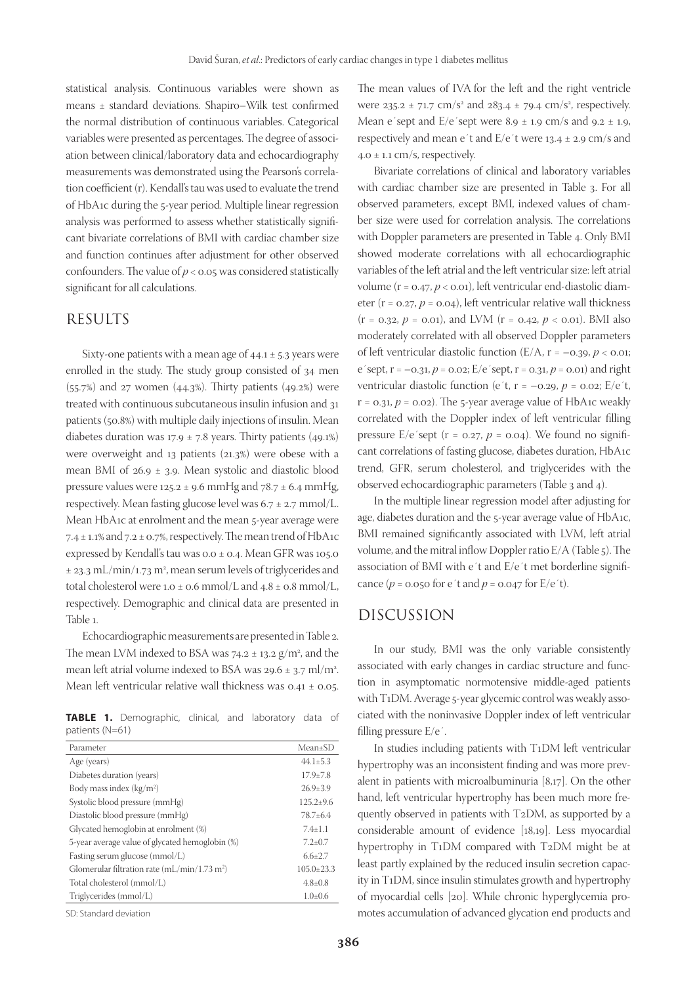statistical analysis. Continuous variables were shown as means ± standard deviations. Shapiro–Wilk test confirmed the normal distribution of continuous variables. Categorical variables were presented as percentages. The degree of association between clinical/laboratory data and echocardiography measurements was demonstrated using the Pearson's correlation coefficient (r). Kendall's tau was used to evaluate the trend of HbA1c during the 5-year period. Multiple linear regression analysis was performed to assess whether statistically significant bivariate correlations of BMI with cardiac chamber size and function continues after adjustment for other observed confounders. The value of  $p < 0.05$  was considered statistically significant for all calculations.

## RESULTS

Sixty-one patients with a mean age of  $44.1 \pm 5.3$  years were enrolled in the study. The study group consisted of 34 men (55.7%) and 27 women (44.3%). Thirty patients (49.2%) were treated with continuous subcutaneous insulin infusion and 31 patients (50.8%) with multiple daily injections of insulin. Mean diabetes duration was  $17.9 \pm 7.8$  years. Thirty patients (49.1%) were overweight and 13 patients (21.3%) were obese with a mean BMI of 26.9 ± 3.9. Mean systolic and diastolic blood pressure values were  $125.2 \pm 9.6$  mmHg and  $78.7 \pm 6.4$  mmHg, respectively. Mean fasting glucose level was 6.7 ± 2.7 mmol/L. Mean HbA1c at enrolment and the mean 5-year average were 7.4  $\pm$  1.1% and 7.2  $\pm$  0.7%, respectively. The mean trend of HbA1c expressed by Kendall's tau was 0.0 ± 0.4. Mean GFR was 105.0  $\pm$  23.3 mL/min/1.73 m<sup>2</sup>, mean serum levels of triglycerides and total cholesterol were 1.0  $\pm$  0.6 mmol/L and 4.8  $\pm$  0.8 mmol/L, respectively. Demographic and clinical data are presented in Table 1.

Echocardiographic measurements are presented in Table 2. The mean LVM indexed to BSA was  $74.2 \pm 13.2$   $\rm g/m^2$ , and the mean left atrial volume indexed to BSA was  $29.6 \pm 3.7$  ml/m<sup>2</sup>. Mean left ventricular relative wall thickness was 0.41 ± 0.05.

**TABLE 1.** Demographic, clinical, and laboratory data of patients (N=61)

| Parameter                                                | Mean±SD          |
|----------------------------------------------------------|------------------|
| Age (years)                                              | $44.1 + 5.3$     |
| Diabetes duration (years)                                | $17.9 + 7.8$     |
| Body mass index $(kg/m2)$                                | $26.9 \pm 3.9$   |
| Systolic blood pressure (mmHg)                           | $125.2+9.6$      |
| Diastolic blood pressure (mmHg)                          | $78.7 + 6.4$     |
| Glycated hemoglobin at enrolment (%)                     | $7.4 + 1.1$      |
| 5-year average value of glycated hemoglobin (%)          | $7.2 \pm 0.7$    |
| Fasting serum glucose (mmol/L)                           | $6.6 + 2.7$      |
| Glomerular filtration rate (mL/min/1.73 m <sup>2</sup> ) | $105.0 \pm 23.3$ |
| Total cholesterol (mmol/L)                               | $4.8 \pm 0.8$    |
| Triglycerides (mmol/L)                                   | $1.0 \pm 0.6$    |

SD: Standard deviation

The mean values of IVA for the left and the right ventricle were  $235.2 \pm 71.7 \text{ cm/s}^2$  and  $283.4 \pm 79.4 \text{ cm/s}^2$ , respectively. Mean e'sept and  $E/e$ 'sept were 8.9  $\pm$  1.9 cm/s and 9.2  $\pm$  1.9, respectively and mean e´t and E/e´t were 13.4 ± 2.9 cm/s and  $4.0 \pm 1.1$  cm/s, respectively.

Bivariate correlations of clinical and laboratory variables with cardiac chamber size are presented in Table 3. For all observed parameters, except BMI, indexed values of chamber size were used for correlation analysis. The correlations with Doppler parameters are presented in Table 4. Only BMI showed moderate correlations with all echocardiographic variables of the left atrial and the left ventricular size: left atrial volume (r = 0.47, *p* < 0.01), left ventricular end-diastolic diameter (r = 0.27, *p* = 0.04), left ventricular relative wall thickness  $(r = 0.32, p = 0.01)$ , and LVM  $(r = 0.42, p < 0.01)$ . BMI also moderately correlated with all observed Doppler parameters of left ventricular diastolic function  $(E/A, r = -0.39, p < 0.01;$ e'sept,  $r = -0.31$ ,  $p = 0.02$ ;  $E/e$ 'sept,  $r = 0.31$ ,  $p = 0.01$ ) and right ventricular diastolic function (e't,  $r = -0.29$ ,  $p = 0.02$ ; E/e't,  $r = 0.31$ ,  $p = 0.02$ ). The 5-year average value of HbA1c weakly correlated with the Doppler index of left ventricular filling pressure  $E/e'$  sept ( $r = 0.27$ ,  $p = 0.04$ ). We found no significant correlations of fasting glucose, diabetes duration, HbA1c trend, GFR, serum cholesterol, and triglycerides with the observed echocardiographic parameters (Table 3 and 4).

In the multiple linear regression model after adjusting for age, diabetes duration and the 5-year average value of HbA1c, BMI remained significantly associated with LVM, left atrial volume, and the mitral inflow Doppler ratio E/A (Table 5). The association of BMI with e´t and E/e´t met borderline significance  $(p = 0.050$  for e't and  $p = 0.047$  for  $E/e't$ ).

# DISCUSSION

In our study, BMI was the only variable consistently associated with early changes in cardiac structure and function in asymptomatic normotensive middle-aged patients with T1DM. Average 5-year glycemic control was weakly associated with the noninvasive Doppler index of left ventricular filling pressure E/e´.

In studies including patients with T1DM left ventricular hypertrophy was an inconsistent finding and was more prevalent in patients with microalbuminuria [8,17]. On the other hand, left ventricular hypertrophy has been much more frequently observed in patients with T2DM, as supported by a considerable amount of evidence [18,19]. Less myocardial hypertrophy in T1DM compared with T2DM might be at least partly explained by the reduced insulin secretion capacity in T1DM, since insulin stimulates growth and hypertrophy of myocardial cells [20]. While chronic hyperglycemia promotes accumulation of advanced glycation end products and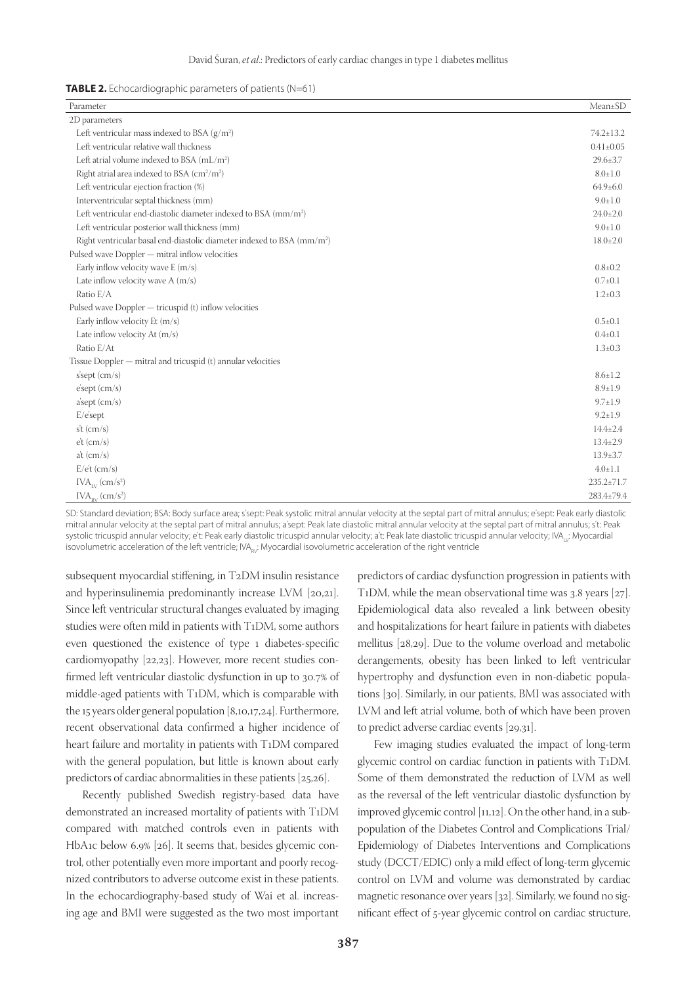| <b>TABLE 2.</b> Echocardiographic parameters of patients (N=61) |
|-----------------------------------------------------------------|
|-----------------------------------------------------------------|

| Parameter                                                                          | Mean±SD          |
|------------------------------------------------------------------------------------|------------------|
| 2D parameters                                                                      |                  |
| Left ventricular mass indexed to BSA $(g/m^2)$                                     | $74.2 \pm 13.2$  |
| Left ventricular relative wall thickness                                           | $0.41 \pm 0.05$  |
| Left atrial volume indexed to BSA $(mL/m2)$                                        | 29.6±3.7         |
| Right atrial area indexed to BSA $\rm (cm^2/m^2)$                                  | $8.0 \pm 1.0$    |
| Left ventricular ejection fraction (%)                                             | $64.9{\pm}6.0$   |
| Interventricular septal thickness (mm)                                             | $9.0 \pm 1.0$    |
| Left ventricular end-diastolic diameter indexed to BSA (mm/m <sup>2</sup> )        | $24.0 \pm 2.0$   |
| Left ventricular posterior wall thickness (mm)                                     | $9.0 \pm 1.0$    |
| Right ventricular basal end-diastolic diameter indexed to BSA (mm/m <sup>2</sup> ) | $18.0 \pm 2.0$   |
| Pulsed wave Doppler - mitral inflow velocities                                     |                  |
| Early inflow velocity wave $E(m/s)$                                                | $0.8{\pm}0.2$    |
| Late inflow velocity wave $A(m/s)$                                                 | $0.7 \pm 0.1$    |
| Ratio E/A                                                                          | $1.2 \pm 0.3$    |
| Pulsed wave Doppler — tricuspid (t) inflow velocities                              |                  |
| Early inflow velocity Et (m/s)                                                     | $0.5 \pm 0.1$    |
| Late inflow velocity At (m/s)                                                      | $0.4{\pm}0.1$    |
| Ratio E/At                                                                         | $1.3 \pm 0.3$    |
| Tissue Doppler — mitral and tricuspid (t) annular velocities                       |                  |
| s'sept (cm/s)                                                                      | $8.6 \pm 1.2$    |
| $e$ 'sept $(cm/s)$                                                                 | $8.9 \pm 1.9$    |
| a'sept (cm/s)                                                                      | $9.7 \pm 1.9$    |
| $E/e's$ ept                                                                        | $9.2 \pm 1.9$    |
| $st$ (cm/s)                                                                        | $14.4 \pm 2.4$   |
| $\dot{c}$ t (cm/s)                                                                 | $13.4 \pm 2.9$   |
| $at$ (cm/s)                                                                        | $13.9 \pm 3.7$   |
| $E/e^t$ (cm/s)                                                                     | $4.0 \pm 1.1$    |
| $IVA_{IV}$ (cm/s <sup>2</sup> )                                                    | $235.2 \pm 71.7$ |
| $\text{IVA}_{\text{RV}}\left(\text{cm}/\text{s}^2\right)$                          | 283.4±79.4       |

SD: Standard deviation; BSA: Body surface area; s'sept: Peak systolic mitral annular velocity at the septal part of mitral annulus; e'sept: Peak early diastolic mitral annular velocity at the septal part of mitral annulus; a'sept: Peak late diastolic mitral annular velocity at the septal part of mitral annulus; s't: Peak systolic tricuspid annular velocity; e't: Peak early diastolic tricuspid annular velocity; a't: Peak late diastolic tricuspid annular velocity; IVA<sub>IV</sub>: Myocardial isovolumetric acceleration of the left ventricle; IVA<sub>PV</sub>: Myocardial isovolumetric acceleration of the right ventricle

subsequent myocardial stiffening, in T2DM insulin resistance and hyperinsulinemia predominantly increase LVM [20,21]. Since left ventricular structural changes evaluated by imaging studies were often mild in patients with T1DM, some authors even questioned the existence of type 1 diabetes-specific cardiomyopathy [22,23]. However, more recent studies confirmed left ventricular diastolic dysfunction in up to 30.7% of middle-aged patients with T1DM, which is comparable with the 15 years older general population [8,10,17,24]. Furthermore, recent observational data confirmed a higher incidence of heart failure and mortality in patients with T1DM compared with the general population, but little is known about early predictors of cardiac abnormalities in these patients [25,26].

Recently published Swedish registry-based data have demonstrated an increased mortality of patients with T1DM compared with matched controls even in patients with HbA1c below 6.9% [26]. It seems that, besides glycemic control, other potentially even more important and poorly recognized contributors to adverse outcome exist in these patients. In the echocardiography-based study of Wai et al. increasing age and BMI were suggested as the two most important

predictors of cardiac dysfunction progression in patients with T1DM, while the mean observational time was 3.8 years [27]. Epidemiological data also revealed a link between obesity and hospitalizations for heart failure in patients with diabetes mellitus [28,29]. Due to the volume overload and metabolic derangements, obesity has been linked to left ventricular hypertrophy and dysfunction even in non-diabetic populations [30]. Similarly, in our patients, BMI was associated with LVM and left atrial volume, both of which have been proven to predict adverse cardiac events [29,31].

Few imaging studies evaluated the impact of long-term glycemic control on cardiac function in patients with T1DM. Some of them demonstrated the reduction of LVM as well as the reversal of the left ventricular diastolic dysfunction by improved glycemic control [11,12]. On the other hand, in a subpopulation of the Diabetes Control and Complications Trial/ Epidemiology of Diabetes Interventions and Complications study (DCCT/EDIC) only a mild effect of long-term glycemic control on LVM and volume was demonstrated by cardiac magnetic resonance over years [32]. Similarly, we found no significant effect of 5-year glycemic control on cardiac structure,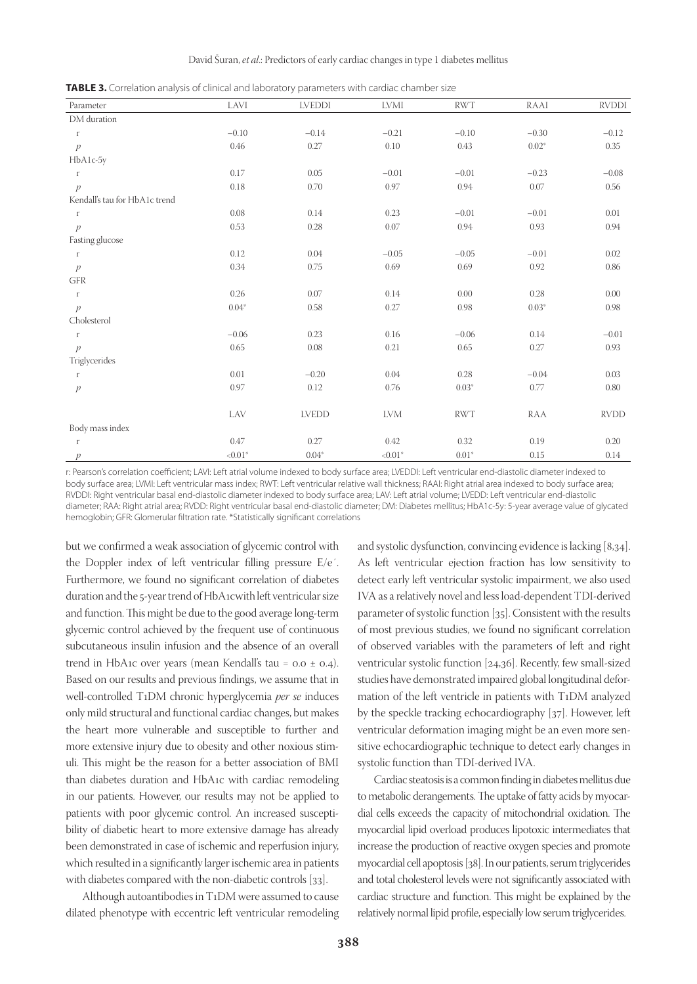**TABLE 3.** Correlation analysis of clinical and laboratory parameters with cardiac chamber size

| Parameter                     | LAVI       | <b>LVEDDI</b> | LVMI       | <b>RWT</b> | RAAI     | <b>RVDDI</b> |
|-------------------------------|------------|---------------|------------|------------|----------|--------------|
| DM duration                   |            |               |            |            |          |              |
| $\Gamma$                      | $-0.10$    | $-0.14$       | $-0.21$    | $-0.10$    | $-0.30$  | $-0.12$      |
| $\mathcal{P}$                 | $0.46\,$   | 0.27          | 0.10       | 0.43       | $0.02*$  | 0.35         |
| HbA1c-5y                      |            |               |            |            |          |              |
| $\Gamma$                      | 0.17       | 0.05          | $-0.01$    | $-0.01$    | $-0.23$  | $-0.08$      |
| $\mathcal{P}$                 | 0.18       | 0.70          | 0.97       | 0.94       | 0.07     | 0.56         |
| Kendall's tau for HbA1c trend |            |               |            |            |          |              |
| $\Gamma$                      | 0.08       | 0.14          | 0.23       | $-0.01$    | $-0.01$  | 0.01         |
| $\overline{p}$                | 0.53       | 0.28          | 0.07       | 0.94       | 0.93     | 0.94         |
| Fasting glucose               |            |               |            |            |          |              |
| $\Gamma$                      | 0.12       | 0.04          | $-0.05$    | $-0.05$    | $-0.01$  | 0.02         |
| $\mathcal{P}$                 | $0.34\,$   | 0.75          | 0.69       | 0.69       | 0.92     | 0.86         |
| $\mbox{GFR}$                  |            |               |            |            |          |              |
| $\Gamma$                      | 0.26       | 0.07          | 0.14       | 0.00       | 0.28     | 0.00         |
| $\mathcal{P}$                 | $0.04*$    | 0.58          | 0.27       | 0.98       | $0.03*$  | 0.98         |
| Cholesterol                   |            |               |            |            |          |              |
| $\Gamma$                      | $-0.06$    | 0.23          | 0.16       | $-0.06$    | 0.14     | $-0.01$      |
| $\overline{p}$                | 0.65       | 0.08          | 0.21       | 0.65       | 0.27     | 0.93         |
| Triglycerides                 |            |               |            |            |          |              |
| $\Gamma$                      | 0.01       | $-0.20$       | 0.04       | 0.28       | $-0.04$  | 0.03         |
| $\overline{p}$                | 0.97       | 0.12          | 0.76       | $0.03*$    | $0.77\,$ | 0.80         |
|                               |            |               |            |            |          |              |
|                               | LAV        | <b>LVEDD</b>  | <b>LVM</b> | <b>RWT</b> | RAA      | <b>RVDD</b>  |
| Body mass index               |            |               |            |            |          |              |
| $\Gamma$                      | 0.47       | 0.27          | 0.42       | 0.32       | 0.19     | 0.20         |
| p                             | ${<}0.01*$ | $0.04*$       | ${<}0.01*$ | $0.01*$    | 0.15     | 0.14         |

r: Pearson's correlation coefficient; LAVI: Left atrial volume indexed to body surface area; LVEDDI: Left ventricular end-diastolic diameter indexed to body surface area; LVMI: Left ventricular mass index; RWT: Left ventricular relative wall thickness; RAAI: Right atrial area indexed to body surface area; RVDDI: Right ventricular basal end-diastolic diameter indexed to body surface area; LAV: Left atrial volume; LVEDD: Left ventricular end-diastolic diameter; RAA: Right atrial area; RVDD: Right ventricular basal end-diastolic diameter; DM: Diabetes mellitus; HbA1c-5y: 5-year average value of glycated hemoglobin; GFR: Glomerular filtration rate. \*Statistically significant correlations

but we confirmed a weak association of glycemic control with the Doppler index of left ventricular filling pressure E/e´. Furthermore, we found no significant correlation of diabetes duration and the 5-year trend of HbA1cwith left ventricular size and function. This might be due to the good average long-term glycemic control achieved by the frequent use of continuous subcutaneous insulin infusion and the absence of an overall trend in HbA1c over years (mean Kendall's tau =  $0.0 \pm 0.4$ ). Based on our results and previous findings, we assume that in well-controlled T1DM chronic hyperglycemia *per se* induces only mild structural and functional cardiac changes, but makes the heart more vulnerable and susceptible to further and more extensive injury due to obesity and other noxious stimuli. This might be the reason for a better association of BMI than diabetes duration and HbA1c with cardiac remodeling in our patients. However, our results may not be applied to patients with poor glycemic control. An increased susceptibility of diabetic heart to more extensive damage has already been demonstrated in case of ischemic and reperfusion injury, which resulted in a significantly larger ischemic area in patients with diabetes compared with the non-diabetic controls [33].

Although autoantibodies in T1DM were assumed to cause dilated phenotype with eccentric left ventricular remodeling and systolic dysfunction, convincing evidence is lacking [8,34]. As left ventricular ejection fraction has low sensitivity to detect early left ventricular systolic impairment, we also used IVA as a relatively novel and less load-dependent TDI-derived parameter of systolic function [35]. Consistent with the results of most previous studies, we found no significant correlation of observed variables with the parameters of left and right ventricular systolic function [24,36]. Recently, few small-sized studies have demonstrated impaired global longitudinal deformation of the left ventricle in patients with T1DM analyzed by the speckle tracking echocardiography [37]. However, left ventricular deformation imaging might be an even more sensitive echocardiographic technique to detect early changes in systolic function than TDI-derived IVA.

Cardiac steatosis is a common finding in diabetes mellitus due to metabolic derangements. The uptake of fatty acids by myocardial cells exceeds the capacity of mitochondrial oxidation. The myocardial lipid overload produces lipotoxic intermediates that increase the production of reactive oxygen species and promote myocardial cell apoptosis [38]. In our patients, serum triglycerides and total cholesterol levels were not significantly associated with cardiac structure and function. This might be explained by the relatively normal lipid profile, especially low serum triglycerides.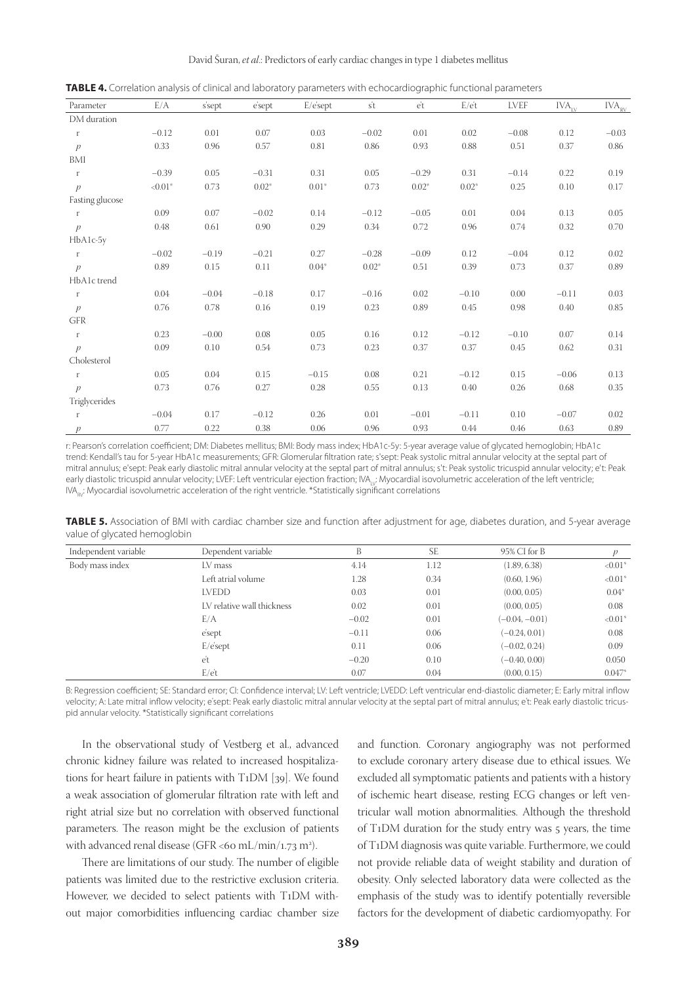| Parameter           | E/A        | s'sept  | esept   | $E/e's$ ept | $\overline{st}$ | et      | $E/e^t$ | LVEF    | IVA <sub>IV</sub> | $\text{IVA}_{\text{\tiny RV}}$ |
|---------------------|------------|---------|---------|-------------|-----------------|---------|---------|---------|-------------------|--------------------------------|
| DM duration         |            |         |         |             |                 |         |         |         |                   |                                |
| r                   | $-0.12$    | 0.01    | 0.07    | 0.03        | $-0.02$         | 0.01    | 0.02    | $-0.08$ | 0.12              | $-0.03$                        |
| p                   | 0.33       | 0.96    | 0.57    | 0.81        | 0.86            | 0.93    | 0.88    | 0.51    | 0.37              | 0.86                           |
| BMI                 |            |         |         |             |                 |         |         |         |                   |                                |
| r                   | $-0.39$    | 0.05    | $-0.31$ | 0.31        | 0.05            | $-0.29$ | 0.31    | $-0.14$ | 0.22              | 0.19                           |
| $\mathcal{P}$       | ${<}0.01*$ | 0.73    | $0.02*$ | $0.01*$     | 0.73            | $0.02*$ | $0.02*$ | 0.25    | 0.10              | 0.17                           |
| Fasting glucose     |            |         |         |             |                 |         |         |         |                   |                                |
| r                   | 0.09       | 0.07    | $-0.02$ | 0.14        | $-0.12$         | $-0.05$ | 0.01    | 0.04    | 0.13              | 0.05                           |
| $\mathcal{P}$       | 0.48       | 0.61    | 0.90    | 0.29        | 0.34            | 0.72    | 0.96    | 0.74    | 0.32              | 0.70                           |
| HbA1c-5y            |            |         |         |             |                 |         |         |         |                   |                                |
| r                   | $-0.02$    | $-0.19$ | $-0.21$ | 0.27        | $-0.28$         | $-0.09$ | 0.12    | $-0.04$ | 0.12              | 0.02                           |
| $\mathcal{P}$       | 0.89       | 0.15    | 0.11    | $0.04*$     | $0.02*$         | 0.51    | 0.39    | 0.73    | 0.37              | 0.89                           |
| HbA1c trend         |            |         |         |             |                 |         |         |         |                   |                                |
| $\,$ $\,$ $\,$ $\,$ | 0.04       | $-0.04$ | $-0.18$ | 0.17        | $-0.16$         | 0.02    | $-0.10$ | 0.00    | $-0.11$           | 0.03                           |
| $\mathcal{P}$       | 0.76       | 0.78    | 0.16    | 0.19        | 0.23            | 0.89    | 0.45    | 0.98    | 0.40              | 0.85                           |
| <b>GFR</b>          |            |         |         |             |                 |         |         |         |                   |                                |
| $\Gamma$            | 0.23       | $-0.00$ | 0.08    | 0.05        | 0.16            | 0.12    | $-0.12$ | $-0.10$ | 0.07              | 0.14                           |
| p                   | 0.09       | 0.10    | 0.54    | 0.73        | 0.23            | 0.37    | 0.37    | 0.45    | 0.62              | 0.31                           |
| Cholesterol         |            |         |         |             |                 |         |         |         |                   |                                |
| $\Gamma$            | 0.05       | 0.04    | 0.15    | $-0.15$     | 0.08            | 0.21    | $-0.12$ | 0.15    | $-0.06$           | 0.13                           |
| $\mathcal{P}$       | 0.73       | 0.76    | 0.27    | 0.28        | 0.55            | 0.13    | 0.40    | 0.26    | 0.68              | 0.35                           |
| Triglycerides       |            |         |         |             |                 |         |         |         |                   |                                |
| $\Gamma$            | $-0.04$    | 0.17    | $-0.12$ | 0.26        | 0.01            | $-0.01$ | $-0.11$ | 0.10    | $-0.07$           | 0.02                           |
| $\mathcal{P}$       | 0.77       | 0.22    | 0.38    | 0.06        | 0.96            | 0.93    | 0.44    | 0.46    | 0.63              | 0.89                           |

**TABLE 4.** Correlation analysis of clinical and laboratory parameters with echocardiographic functional parameters

r: Pearson's correlation coefficient; DM: Diabetes mellitus; BMI: Body mass index; HbA1c-5y: 5-year average value of glycated hemoglobin; HbA1c trend: Kendall's tau for 5-year HbA1c measurements; GFR: Glomerular filtration rate; s'sept: Peak systolic mitral annular velocity at the septal part of mitral annulus; e'sept: Peak early diastolic mitral annular velocity at the septal part of mitral annulus; s't: Peak systolic tricuspid annular velocity; e't: Peak early diastolic tricuspid annular velocity; LVEF: Left ventricular ejection fraction; IVA<sub>IV</sub>: Myocardial isovolumetric acceleration of the left ventricle; IVA<sub>RV</sub>: Myocardial isovolumetric acceleration of the right ventricle. \*Statistically significant correlations

**TABLE 5.** Association of BMI with cardiac chamber size and function after adjustment for age, diabetes duration, and 5-year average value of glycated hemoglobin

| Independent variable | Dependent variable         | B       | <b>SE</b> | 95% CI for B     |                       |
|----------------------|----------------------------|---------|-----------|------------------|-----------------------|
| Body mass index      | LV mass                    | 4.14    | 1.12      | (1.89, 6.38)     | $< 0.01*$             |
|                      | Left atrial volume         | 1.28    | 0.34      | (0.60, 1.96)     | $< 0.01$ <sup>*</sup> |
|                      | <b>LVEDD</b>               | 0.03    | 0.01      | (0.00, 0.05)     | $0.04*$               |
|                      | LV relative wall thickness | 0.02    | 0.01      | (0.00, 0.05)     | 0.08                  |
|                      | E/A                        | $-0.02$ | 0.01      | $(-0.04, -0.01)$ | $< 0.01$ <sup>*</sup> |
|                      | e'sept                     | $-0.11$ | 0.06      | $(-0.24, 0.01)$  | 0.08                  |
|                      | $E/e's$ ept                | 0.11    | 0.06      | $(-0.02, 0.24)$  | 0.09                  |
|                      | et                         | $-0.20$ | 0.10      | $(-0.40, 0.00)$  | 0.050                 |
|                      | $E/e^t$                    | 0.07    | 0.04      | (0.00, 0.15)     | $0.047*$              |

B: Regression coefficient; SE: Standard error; CI: Confidence interval; LV: Left ventricle; LVEDD: Left ventricular end-diastolic diameter; E: Early mitral inflow velocity; A: Late mitral inflow velocity; e'sept: Peak early diastolic mitral annular velocity at the septal part of mitral annulus; e't: Peak early diastolic tricuspid annular velocity. \*Statistically significant correlations

In the observational study of Vestberg et al., advanced chronic kidney failure was related to increased hospitalizations for heart failure in patients with T1DM [39]. We found a weak association of glomerular filtration rate with left and right atrial size but no correlation with observed functional parameters. The reason might be the exclusion of patients with advanced renal disease (GFR <60 mL/min/1.73 m<sup>2</sup>).

There are limitations of our study. The number of eligible patients was limited due to the restrictive exclusion criteria. However, we decided to select patients with T1DM without major comorbidities influencing cardiac chamber size and function. Coronary angiography was not performed to exclude coronary artery disease due to ethical issues. We excluded all symptomatic patients and patients with a history of ischemic heart disease, resting ECG changes or left ventricular wall motion abnormalities. Although the threshold of T1DM duration for the study entry was 5 years, the time of T1DM diagnosis was quite variable. Furthermore, we could not provide reliable data of weight stability and duration of obesity. Only selected laboratory data were collected as the emphasis of the study was to identify potentially reversible factors for the development of diabetic cardiomyopathy. For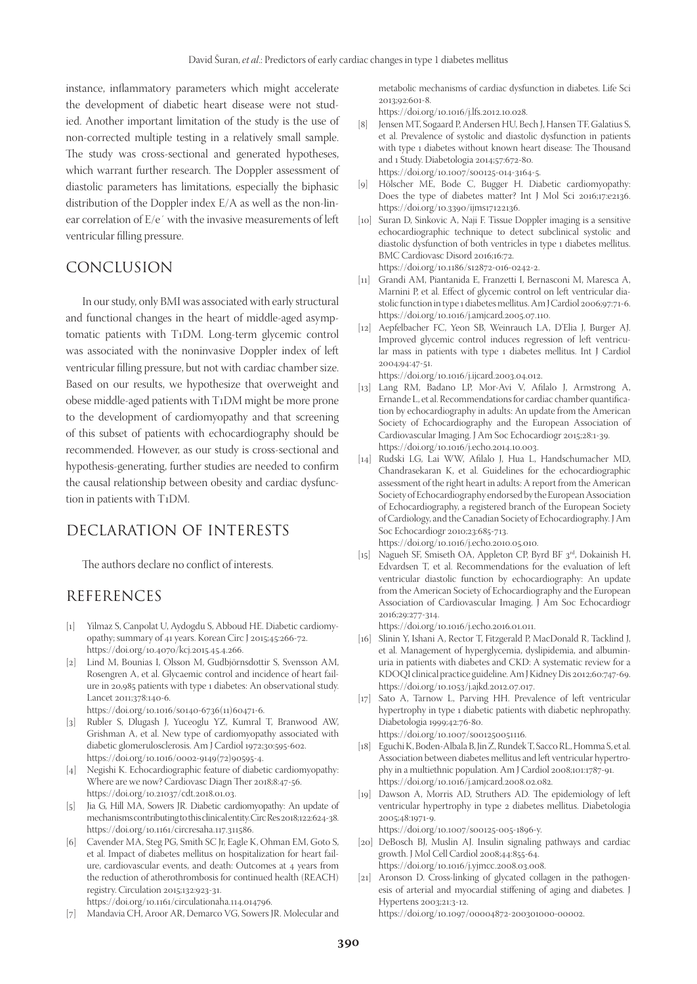instance, inflammatory parameters which might accelerate the development of diabetic heart disease were not studied. Another important limitation of the study is the use of non-corrected multiple testing in a relatively small sample. The study was cross-sectional and generated hypotheses, which warrant further research. The Doppler assessment of diastolic parameters has limitations, especially the biphasic distribution of the Doppler index E/A as well as the non-linear correlation of E/e´ with the invasive measurements of left ventricular filling pressure.

# CONCLUSION

In our study, only BMI was associated with early structural and functional changes in the heart of middle-aged asymptomatic patients with T1DM. Long-term glycemic control was associated with the noninvasive Doppler index of left ventricular filling pressure, but not with cardiac chamber size. Based on our results, we hypothesize that overweight and obese middle-aged patients with T1DM might be more prone to the development of cardiomyopathy and that screening of this subset of patients with echocardiography should be recommended. However, as our study is cross-sectional and hypothesis-generating, further studies are needed to confirm the causal relationship between obesity and cardiac dysfunction in patients with T1DM.

# DECLARATION OF INTERESTS

The authors declare no conflict of interests.

# REFERENCES

- [1] Yilmaz S, Canpolat U, Aydogdu S, Abboud HE. Diabetic cardiomyopathy; summary of 41 years. Korean Circ J 2015;45:266-72. https://doi.org/10.4070/kcj.2015.45.4.266.
- [2] Lind M, Bounias I, Olsson M, Gudbjörnsdottir S, Svensson AM, Rosengren A, et al. Glycaemic control and incidence of heart failure in 20,985 patients with type 1 diabetes: An observational study. Lancet 2011;378:140-6.
	- https://doi.org/10.1016/s0140-6736(11)60471-6.
- [3] Rubler S, Dlugash J, Yuceoglu YZ, Kumral T, Branwood AW, Grishman A, et al. New type of cardiomyopathy associated with diabetic glomerulosclerosis. Am J Cardiol 1972;30:595-602. https://doi.org/10.1016/0002-9149(72)90595-4.
- [4] Negishi K. Echocardiographic feature of diabetic cardiomyopathy: Where are we now? Cardiovasc Diagn Ther 2018;8:47-56. https://doi.org/10.21037/cdt.2018.01.03.
- [5] Jia G, Hill MA, Sowers JR. Diabetic cardiomyopathy: An update of mechanisms contributing to this clinical entity. Circ Res 2018;122:624-38. https://doi.org/10.1161/circresaha.117.311586.
- [6] Cavender MA, Steg PG, Smith SC Jr, Eagle K, Ohman EM, Goto S, et al. Impact of diabetes mellitus on hospitalization for heart failure, cardiovascular events, and death: Outcomes at 4 years from the reduction of atherothrombosis for continued health (REACH) registry. Circulation 2015;132:923-31. https://doi.org/10.1161/circulationaha.114.014796.

[7] Mandavia CH, Aroor AR, Demarco VG, Sowers JR. Molecular and

metabolic mechanisms of cardiac dysfunction in diabetes. Life Sci 2013;92:601-8.

https://doi.org/10.1016/j.lfs.2012.10.028.

[8] Jensen MT, Sogaard P, Andersen HU, Bech J, Hansen TF, Galatius S, et al. Prevalence of systolic and diastolic dysfunction in patients with type 1 diabetes without known heart disease: The Thousand and 1 Study. Diabetologia 2014;57:672-80. https://doi.org/10.1007/s00125-014-3164-5.

[9] Hölscher ME, Bode C, Bugger H. Diabetic cardiomyopathy: Does the type of diabetes matter? Int J Mol Sci 2016;17:e2136. https://doi.org/10.3390/ijms17122136.

[10] Suran D, Sinkovic A, Naji F. Tissue Doppler imaging is a sensitive echocardiographic technique to detect subclinical systolic and diastolic dysfunction of both ventricles in type 1 diabetes mellitus. BMC Cardiovasc Disord 2016;16:72.

https://doi.org/10.1186/s12872-016-0242-2.

- [11] Grandi AM, Piantanida E, Franzetti I, Bernasconi M, Maresca A, Marnini P, et al. Effect of glycemic control on left ventricular diastolic function in type 1 diabetes mellitus. Am J Cardiol 2006;97:71-6. https://doi.org/10.1016/j.amjcard.2005.07.110.
- [12] Aepfelbacher FC, Yeon SB, Weinrauch LA, D'Elia J, Burger AJ. Improved glycemic control induces regression of left ventricular mass in patients with type 1 diabetes mellitus. Int J Cardiol 2004;94:47-51.

https://doi.org/10.1016/j.ijcard.2003.04.012.

- [13] Lang RM, Badano LP, Mor-Avi V, Afilalo J, Armstrong A, Ernande L, et al. Recommendations for cardiac chamber quantification by echocardiography in adults: An update from the American Society of Echocardiography and the European Association of Cardiovascular Imaging. J Am Soc Echocardiogr 2015;28:1-39. https://doi.org/10.1016/j.echo.2014.10.003.
- [14] Rudski LG, Lai WW, Afilalo J, Hua L, Handschumacher MD, Chandrasekaran K, et al. Guidelines for the echocardiographic assessment of the right heart in adults: A report from the American Society of Echocardiography endorsed by the European Association of Echocardiography, a registered branch of the European Society of Cardiology, and the Canadian Society of Echocardiography. J Am Soc Echocardiogr 2010;23:685-713. https://doi.org/10.1016/j.echo.2010.05.010.
- [15] Nagueh SF, Smiseth OA, Appleton CP, Byrd BF 3<sup>rd</sup>, Dokainish H, Edvardsen T, et al. Recommendations for the evaluation of left ventricular diastolic function by echocardiography: An update from the American Society of Echocardiography and the European Association of Cardiovascular Imaging. J Am Soc Echocardiogr 2016;29:277-314.

https://doi.org/10.1016/j.echo.2016.01.011.

- [16] Slinin Y, Ishani A, Rector T, Fitzgerald P, MacDonald R, Tacklind J, et al. Management of hyperglycemia, dyslipidemia, and albuminuria in patients with diabetes and CKD: A systematic review for a KDOQI clinical practice guideline. Am J Kidney Dis 2012;60:747-69. [https://doi.org/10.1053/j.ajkd.2012.07.017.](https://doi.org/10.1053/j.ajkd.2012.07.017)
- [17] Sato A, Tarnow L, Parving HH. Prevalence of left ventricular hypertrophy in type 1 diabetic patients with diabetic nephropathy. Diabetologia 1999;42:76-80.

https://doi.org/10.1007/s001250051116.

- [18] Eguchi K, Boden-Albala B, Jin Z, Rundek T, Sacco RL, Homma S, et al. Association between diabetes mellitus and left ventricular hypertrophy in a multiethnic population. Am J Cardiol 2008;101:1787-91. https://doi.org/10.1016/j.amjcard.2008.02.082.
- [19] Dawson A, Morris AD, Struthers AD. The epidemiology of left ventricular hypertrophy in type 2 diabetes mellitus. Diabetologia 2005;48:1971-9.

https://doi.org/10.1007/s00125-005-1896-y.

- [20] DeBosch BJ, Muslin AJ. Insulin signaling pathways and cardiac growth. J Mol Cell Cardiol 2008;44:855-64. https://doi.org/10.1016/j.yjmcc.2008.03.008.
- [21] Aronson D. Cross-linking of glycated collagen in the pathogenesis of arterial and myocardial stiffening of aging and diabetes. J Hypertens 2003;21:3-12.

https://doi.org/10.1097/00004872-200301000-00002.